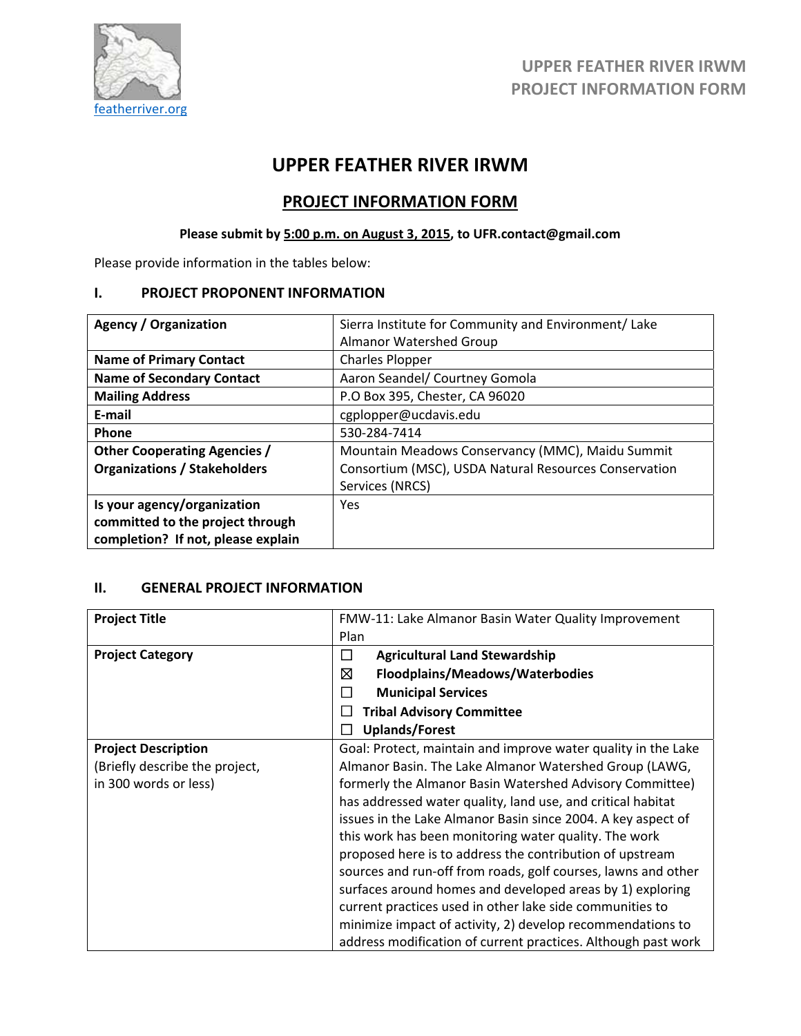

## **UPPER FEATHER RIVER IRWM**

### **PROJECT INFORMATION FORM**

### **Please submit by 5:00 p.m. on August 3, 2015, to UFR.contact@gmail.com**

Please provide information in the tables below:

#### **I. PROJECT PROPONENT INFORMATION**

| <b>Agency / Organization</b>        | Sierra Institute for Community and Environment/ Lake  |
|-------------------------------------|-------------------------------------------------------|
|                                     | <b>Almanor Watershed Group</b>                        |
| <b>Name of Primary Contact</b>      | <b>Charles Plopper</b>                                |
| <b>Name of Secondary Contact</b>    | Aaron Seandel/ Courtney Gomola                        |
| <b>Mailing Address</b>              | P.O Box 395, Chester, CA 96020                        |
| E-mail                              | cgplopper@ucdavis.edu                                 |
| Phone                               | 530-284-7414                                          |
| <b>Other Cooperating Agencies /</b> | Mountain Meadows Conservancy (MMC), Maidu Summit      |
| <b>Organizations / Stakeholders</b> | Consortium (MSC), USDA Natural Resources Conservation |
|                                     | Services (NRCS)                                       |
| Is your agency/organization         | <b>Yes</b>                                            |
| committed to the project through    |                                                       |
| completion? If not, please explain  |                                                       |

### **II. GENERAL PROJECT INFORMATION**

| <b>Project Title</b>           | FMW-11: Lake Almanor Basin Water Quality Improvement          |  |  |  |
|--------------------------------|---------------------------------------------------------------|--|--|--|
|                                | Plan                                                          |  |  |  |
| <b>Project Category</b>        | <b>Agricultural Land Stewardship</b><br>$\Box$                |  |  |  |
|                                | ⊠<br>Floodplains/Meadows/Waterbodies                          |  |  |  |
|                                | <b>Municipal Services</b><br>H                                |  |  |  |
|                                | <b>Tribal Advisory Committee</b>                              |  |  |  |
|                                | <b>Uplands/Forest</b>                                         |  |  |  |
| <b>Project Description</b>     | Goal: Protect, maintain and improve water quality in the Lake |  |  |  |
| (Briefly describe the project, | Almanor Basin. The Lake Almanor Watershed Group (LAWG,        |  |  |  |
| in 300 words or less)          | formerly the Almanor Basin Watershed Advisory Committee)      |  |  |  |
|                                | has addressed water quality, land use, and critical habitat   |  |  |  |
|                                | issues in the Lake Almanor Basin since 2004. A key aspect of  |  |  |  |
|                                | this work has been monitoring water quality. The work         |  |  |  |
|                                | proposed here is to address the contribution of upstream      |  |  |  |
|                                | sources and run-off from roads, golf courses, lawns and other |  |  |  |
|                                | surfaces around homes and developed areas by 1) exploring     |  |  |  |
|                                | current practices used in other lake side communities to      |  |  |  |
|                                | minimize impact of activity, 2) develop recommendations to    |  |  |  |
|                                | address modification of current practices. Although past work |  |  |  |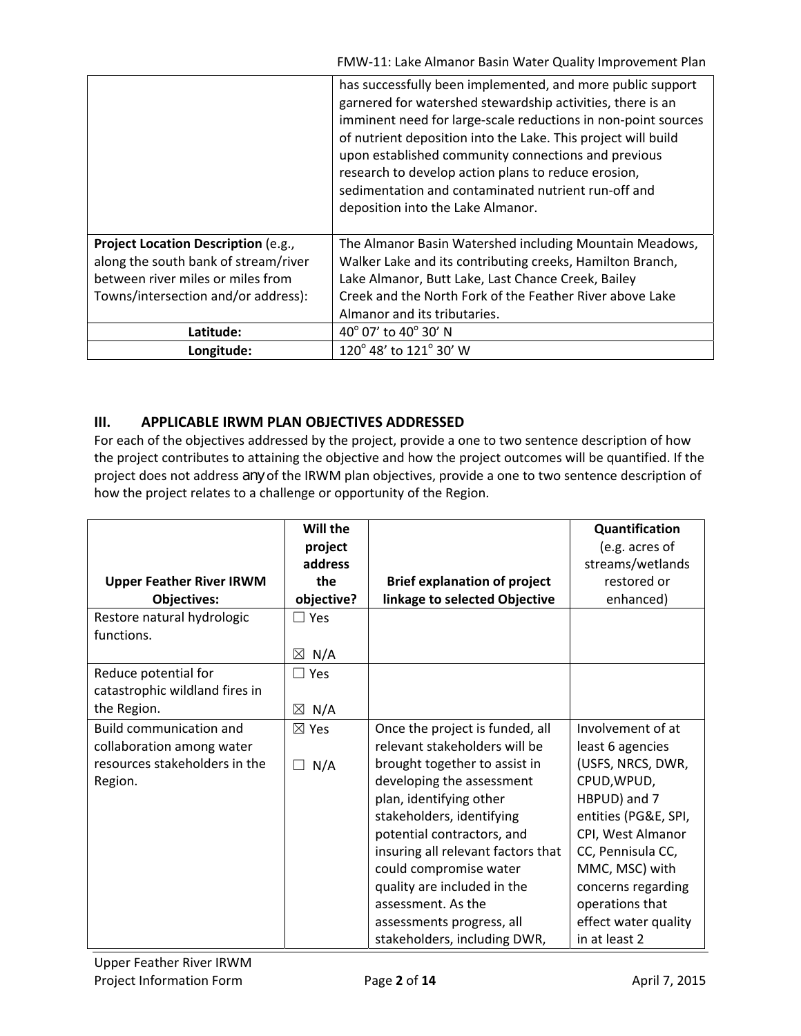|                                                                                                                                                         | has successfully been implemented, and more public support<br>garnered for watershed stewardship activities, there is an<br>imminent need for large-scale reductions in non-point sources<br>of nutrient deposition into the Lake. This project will build<br>upon established community connections and previous<br>research to develop action plans to reduce erosion,<br>sedimentation and contaminated nutrient run-off and<br>deposition into the Lake Almanor. |
|---------------------------------------------------------------------------------------------------------------------------------------------------------|----------------------------------------------------------------------------------------------------------------------------------------------------------------------------------------------------------------------------------------------------------------------------------------------------------------------------------------------------------------------------------------------------------------------------------------------------------------------|
| Project Location Description (e.g.,<br>along the south bank of stream/river<br>between river miles or miles from<br>Towns/intersection and/or address): | The Almanor Basin Watershed including Mountain Meadows,<br>Walker Lake and its contributing creeks, Hamilton Branch,<br>Lake Almanor, Butt Lake, Last Chance Creek, Bailey<br>Creek and the North Fork of the Feather River above Lake<br>Almanor and its tributaries.                                                                                                                                                                                               |
| Latitude:                                                                                                                                               | 40° 07' to 40° 30' N                                                                                                                                                                                                                                                                                                                                                                                                                                                 |
| Longitude:                                                                                                                                              | 120° 48' to 121° 30' W                                                                                                                                                                                                                                                                                                                                                                                                                                               |

### **III. APPLICABLE IRWM PLAN OBJECTIVES ADDRESSED**

For each of the objectives addressed by the project, provide a one to two sentence description of how the project contributes to attaining the objective and how the project outcomes will be quantified. If the project does not address *any* of the IRWM plan objectives, provide a one to two sentence description of how the project relates to a challenge or opportunity of the Region.

|                                 | Will the        |                                     | Quantification       |
|---------------------------------|-----------------|-------------------------------------|----------------------|
|                                 | project         |                                     | (e.g. acres of       |
|                                 | address         |                                     | streams/wetlands     |
| <b>Upper Feather River IRWM</b> | the             | <b>Brief explanation of project</b> | restored or          |
| Objectives:                     | objective?      | linkage to selected Objective       | enhanced)            |
| Restore natural hydrologic      | $\square$ Yes   |                                     |                      |
| functions.                      |                 |                                     |                      |
|                                 | $\boxtimes$ N/A |                                     |                      |
| Reduce potential for            | $\Box$ Yes      |                                     |                      |
| catastrophic wildland fires in  |                 |                                     |                      |
| the Region.                     | $\boxtimes$ N/A |                                     |                      |
| <b>Build communication and</b>  | $\boxtimes$ Yes | Once the project is funded, all     | Involvement of at    |
| collaboration among water       |                 | relevant stakeholders will be       | least 6 agencies     |
| resources stakeholders in the   | $\Box$ N/A      | brought together to assist in       | (USFS, NRCS, DWR,    |
| Region.                         |                 | developing the assessment           | CPUD, WPUD,          |
|                                 |                 | plan, identifying other             | HBPUD) and 7         |
|                                 |                 | stakeholders, identifying           | entities (PG&E, SPI, |
|                                 |                 | potential contractors, and          | CPI, West Almanor    |
|                                 |                 | insuring all relevant factors that  | CC, Pennisula CC,    |
|                                 |                 | could compromise water              | MMC, MSC) with       |
|                                 |                 | quality are included in the         | concerns regarding   |
|                                 |                 | assessment. As the                  | operations that      |
|                                 |                 | assessments progress, all           | effect water quality |
|                                 |                 | stakeholders, including DWR,        | in at least 2        |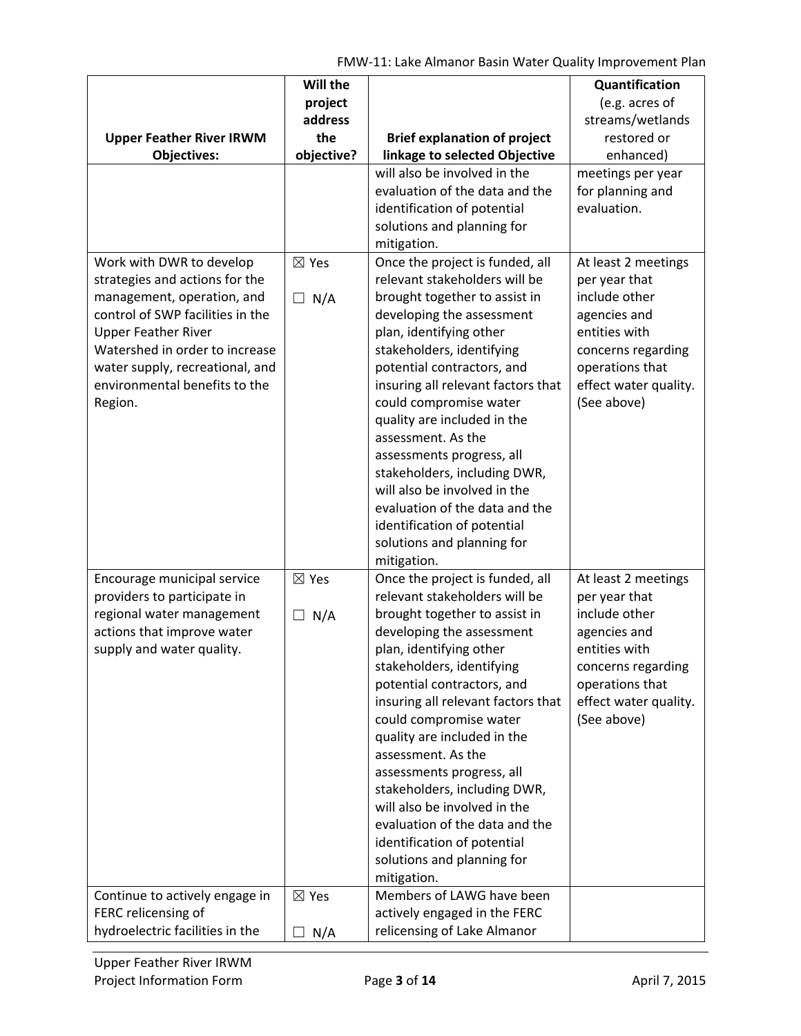FMW‐11: Lake Almanor Basin Water Quality Improvement Plan

|                                                                  | Will the        |                                                                      | Quantification                        |
|------------------------------------------------------------------|-----------------|----------------------------------------------------------------------|---------------------------------------|
|                                                                  | project         |                                                                      | (e.g. acres of                        |
|                                                                  | address<br>the  |                                                                      | streams/wetlands<br>restored or       |
| <b>Upper Feather River IRWM</b><br><b>Objectives:</b>            | objective?      | <b>Brief explanation of project</b><br>linkage to selected Objective | enhanced)                             |
|                                                                  |                 | will also be involved in the                                         | meetings per year                     |
|                                                                  |                 | evaluation of the data and the                                       | for planning and                      |
|                                                                  |                 | identification of potential                                          | evaluation.                           |
|                                                                  |                 | solutions and planning for                                           |                                       |
|                                                                  |                 | mitigation.                                                          |                                       |
| Work with DWR to develop                                         | $\boxtimes$ Yes | Once the project is funded, all                                      | At least 2 meetings                   |
| strategies and actions for the                                   |                 | relevant stakeholders will be                                        | per year that                         |
| management, operation, and                                       | N/A<br>$\Box$   | brought together to assist in                                        | include other                         |
| control of SWP facilities in the                                 |                 | developing the assessment                                            | agencies and                          |
| <b>Upper Feather River</b>                                       |                 | plan, identifying other                                              | entities with                         |
| Watershed in order to increase                                   |                 | stakeholders, identifying                                            | concerns regarding<br>operations that |
| water supply, recreational, and<br>environmental benefits to the |                 | potential contractors, and<br>insuring all relevant factors that     | effect water quality.                 |
| Region.                                                          |                 | could compromise water                                               | (See above)                           |
|                                                                  |                 | quality are included in the                                          |                                       |
|                                                                  |                 | assessment. As the                                                   |                                       |
|                                                                  |                 | assessments progress, all                                            |                                       |
|                                                                  |                 | stakeholders, including DWR,                                         |                                       |
|                                                                  |                 | will also be involved in the                                         |                                       |
|                                                                  |                 | evaluation of the data and the                                       |                                       |
|                                                                  |                 | identification of potential                                          |                                       |
|                                                                  |                 | solutions and planning for                                           |                                       |
|                                                                  |                 | mitigation.                                                          |                                       |
| Encourage municipal service                                      | $\boxtimes$ Yes | Once the project is funded, all                                      | At least 2 meetings                   |
| providers to participate in                                      |                 | relevant stakeholders will be                                        | per year that                         |
| regional water management                                        | $\Box$ N/A      | brought together to assist in                                        | include other                         |
| actions that improve water                                       |                 | developing the assessment                                            | agencies and<br>entities with         |
| supply and water quality.                                        |                 | plan, identifying other<br>stakeholders, identifying                 | concerns regarding                    |
|                                                                  |                 | potential contractors, and                                           | operations that                       |
|                                                                  |                 | insuring all relevant factors that                                   | effect water quality.                 |
|                                                                  |                 | could compromise water                                               | (See above)                           |
|                                                                  |                 | quality are included in the                                          |                                       |
|                                                                  |                 | assessment. As the                                                   |                                       |
|                                                                  |                 | assessments progress, all                                            |                                       |
|                                                                  |                 | stakeholders, including DWR,                                         |                                       |
|                                                                  |                 | will also be involved in the                                         |                                       |
|                                                                  |                 | evaluation of the data and the                                       |                                       |
|                                                                  |                 | identification of potential                                          |                                       |
|                                                                  |                 | solutions and planning for                                           |                                       |
|                                                                  |                 | mitigation.                                                          |                                       |
| Continue to actively engage in                                   | $\boxtimes$ Yes | Members of LAWG have been                                            |                                       |
| FERC relicensing of<br>hydroelectric facilities in the           |                 | actively engaged in the FERC<br>relicensing of Lake Almanor          |                                       |
|                                                                  | N/A             |                                                                      |                                       |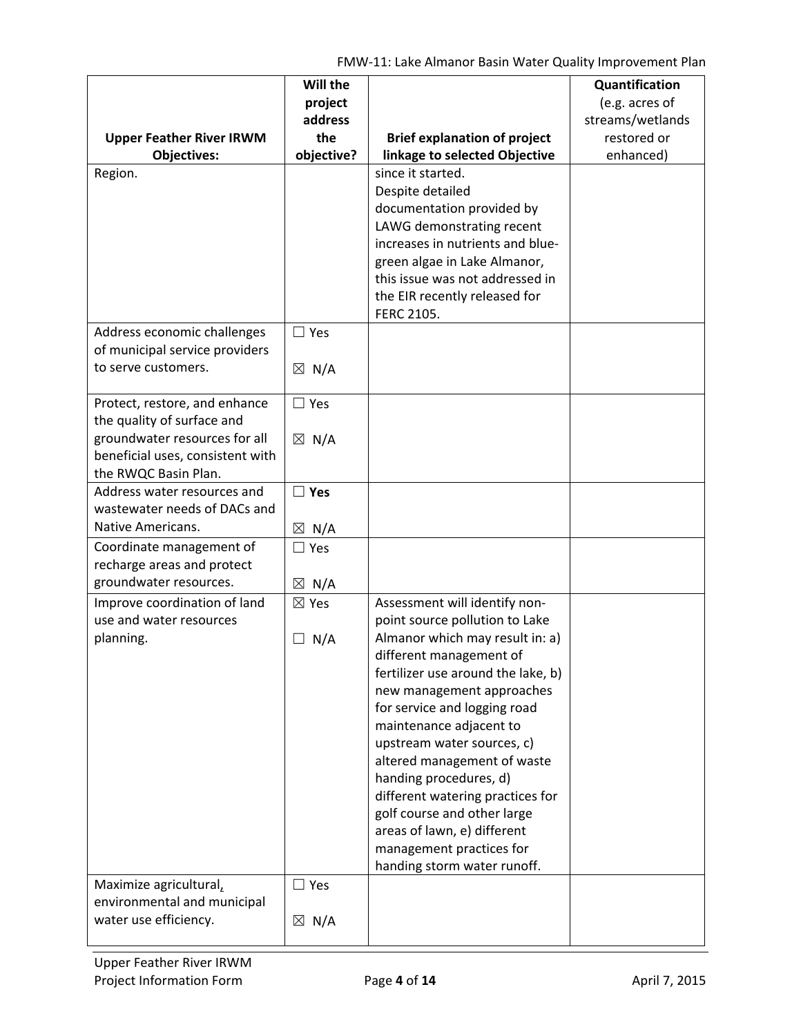|                                                       | Will the        |                                                                 | Quantification   |
|-------------------------------------------------------|-----------------|-----------------------------------------------------------------|------------------|
|                                                       | project         |                                                                 | (e.g. acres of   |
|                                                       | address         |                                                                 | streams/wetlands |
| <b>Upper Feather River IRWM</b>                       | the             | <b>Brief explanation of project</b>                             | restored or      |
| <b>Objectives:</b>                                    | objective?      | linkage to selected Objective                                   | enhanced)        |
| Region.                                               |                 | since it started.                                               |                  |
|                                                       |                 | Despite detailed                                                |                  |
|                                                       |                 | documentation provided by                                       |                  |
|                                                       |                 | LAWG demonstrating recent                                       |                  |
|                                                       |                 | increases in nutrients and blue-                                |                  |
|                                                       |                 | green algae in Lake Almanor,                                    |                  |
|                                                       |                 | this issue was not addressed in                                 |                  |
|                                                       |                 | the EIR recently released for                                   |                  |
|                                                       |                 | FERC 2105.                                                      |                  |
| Address economic challenges                           | $\square$ Yes   |                                                                 |                  |
| of municipal service providers                        |                 |                                                                 |                  |
| to serve customers.                                   | $\boxtimes$ N/A |                                                                 |                  |
|                                                       |                 |                                                                 |                  |
| Protect, restore, and enhance                         | $\Box$ Yes      |                                                                 |                  |
| the quality of surface and                            |                 |                                                                 |                  |
| groundwater resources for all                         | $\boxtimes$ N/A |                                                                 |                  |
| beneficial uses, consistent with                      |                 |                                                                 |                  |
| the RWQC Basin Plan.                                  |                 |                                                                 |                  |
| Address water resources and                           | $\square$ Yes   |                                                                 |                  |
| wastewater needs of DACs and                          |                 |                                                                 |                  |
| Native Americans.                                     | $\boxtimes$ N/A |                                                                 |                  |
| Coordinate management of                              | $\Box$ Yes      |                                                                 |                  |
| recharge areas and protect                            |                 |                                                                 |                  |
| groundwater resources.                                | $\boxtimes$ N/A |                                                                 |                  |
| Improve coordination of land                          | $\boxtimes$ Yes | Assessment will identify non-                                   |                  |
| use and water resources                               |                 | point source pollution to Lake                                  |                  |
| planning.                                             | $\Box$ N/A      | Almanor which may result in: a)                                 |                  |
|                                                       |                 | different management of                                         |                  |
|                                                       |                 | fertilizer use around the lake, b)                              |                  |
|                                                       |                 | new management approaches                                       |                  |
|                                                       |                 | for service and logging road                                    |                  |
|                                                       |                 | maintenance adjacent to                                         |                  |
|                                                       |                 | upstream water sources, c)                                      |                  |
|                                                       |                 | altered management of waste<br>handing procedures, d)           |                  |
|                                                       |                 |                                                                 |                  |
|                                                       |                 | different watering practices for<br>golf course and other large |                  |
|                                                       |                 | areas of lawn, e) different                                     |                  |
|                                                       |                 | management practices for                                        |                  |
|                                                       |                 | handing storm water runoff.                                     |                  |
|                                                       |                 |                                                                 |                  |
| Maximize agricultural,<br>environmental and municipal | $\Box$ Yes      |                                                                 |                  |
| water use efficiency.                                 |                 |                                                                 |                  |
|                                                       | $\boxtimes$ N/A |                                                                 |                  |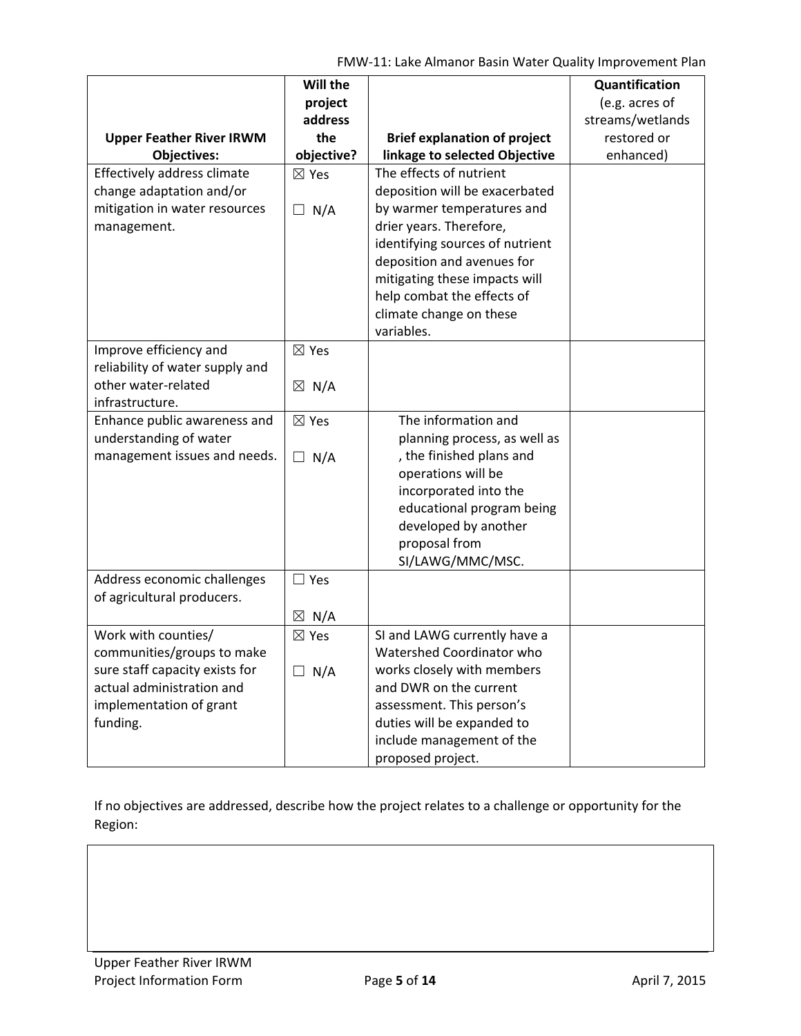FMW‐11: Lake Almanor Basin Water Quality Improvement Plan

|                                                 | Will the<br>project |                                     | Quantification<br>(e.g. acres of |
|-------------------------------------------------|---------------------|-------------------------------------|----------------------------------|
|                                                 | address             |                                     | streams/wetlands                 |
| <b>Upper Feather River IRWM</b>                 | the                 | <b>Brief explanation of project</b> | restored or                      |
| <b>Objectives:</b>                              | objective?          | linkage to selected Objective       | enhanced)                        |
| Effectively address climate                     | $\boxtimes$ Yes     | The effects of nutrient             |                                  |
| change adaptation and/or                        |                     | deposition will be exacerbated      |                                  |
| mitigation in water resources                   | $\Box$ N/A          | by warmer temperatures and          |                                  |
| management.                                     |                     | drier years. Therefore,             |                                  |
|                                                 |                     | identifying sources of nutrient     |                                  |
|                                                 |                     | deposition and avenues for          |                                  |
|                                                 |                     | mitigating these impacts will       |                                  |
|                                                 |                     | help combat the effects of          |                                  |
|                                                 |                     | climate change on these             |                                  |
|                                                 |                     | variables.                          |                                  |
| Improve efficiency and                          | $\boxtimes$ Yes     |                                     |                                  |
| reliability of water supply and                 |                     |                                     |                                  |
| other water-related                             | $\boxtimes$ N/A     |                                     |                                  |
| infrastructure.<br>Enhance public awareness and |                     | The information and                 |                                  |
| understanding of water                          | $\boxtimes$ Yes     | planning process, as well as        |                                  |
| management issues and needs.                    |                     | , the finished plans and            |                                  |
|                                                 | $\Box$ N/A          | operations will be                  |                                  |
|                                                 |                     | incorporated into the               |                                  |
|                                                 |                     | educational program being           |                                  |
|                                                 |                     | developed by another                |                                  |
|                                                 |                     | proposal from                       |                                  |
|                                                 |                     | SI/LAWG/MMC/MSC.                    |                                  |
| Address economic challenges                     | $\Box$ Yes          |                                     |                                  |
| of agricultural producers.                      |                     |                                     |                                  |
|                                                 | $\boxtimes$ N/A     |                                     |                                  |
| Work with counties/                             | $\boxtimes$ Yes     | SI and LAWG currently have a        |                                  |
| communities/groups to make                      |                     | Watershed Coordinator who           |                                  |
| sure staff capacity exists for                  | $\Box$ N/A          | works closely with members          |                                  |
| actual administration and                       |                     | and DWR on the current              |                                  |
| implementation of grant                         |                     | assessment. This person's           |                                  |
| funding.                                        |                     | duties will be expanded to          |                                  |
|                                                 |                     | include management of the           |                                  |
|                                                 |                     | proposed project.                   |                                  |

If no objectives are addressed, describe how the project relates to a challenge or opportunity for the Region: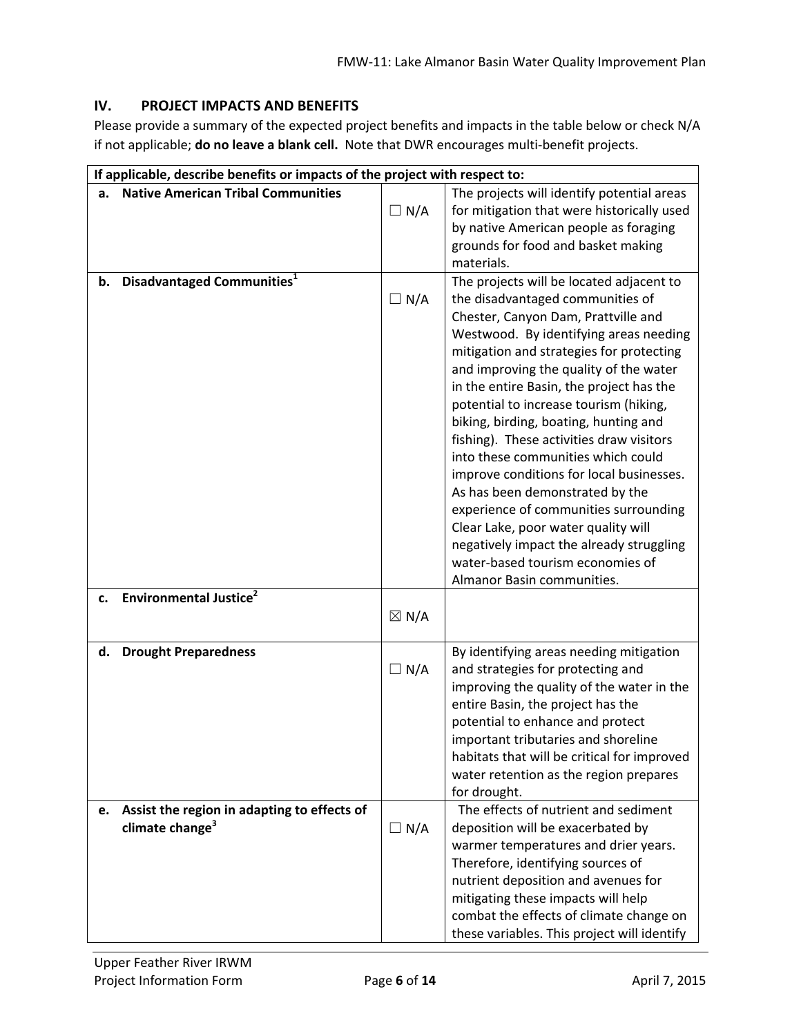### **IV. PROJECT IMPACTS AND BENEFITS**

Please provide a summary of the expected project benefits and impacts in the table below or check N/A if not applicable; **do no leave a blank cell.** Note that DWR encourages multi‐benefit projects.

|    | If applicable, describe benefits or impacts of the project with respect to: |                 |                                                                                |  |  |
|----|-----------------------------------------------------------------------------|-----------------|--------------------------------------------------------------------------------|--|--|
| a. | <b>Native American Tribal Communities</b>                                   |                 | The projects will identify potential areas                                     |  |  |
|    |                                                                             | $\Box N/A$      | for mitigation that were historically used                                     |  |  |
|    |                                                                             |                 | by native American people as foraging                                          |  |  |
|    |                                                                             |                 | grounds for food and basket making                                             |  |  |
|    |                                                                             |                 | materials.                                                                     |  |  |
| b. | Disadvantaged Communities <sup>1</sup>                                      |                 | The projects will be located adjacent to                                       |  |  |
|    |                                                                             | $\Box N/A$      | the disadvantaged communities of                                               |  |  |
|    |                                                                             |                 | Chester, Canyon Dam, Prattville and                                            |  |  |
|    |                                                                             |                 | Westwood. By identifying areas needing                                         |  |  |
|    |                                                                             |                 | mitigation and strategies for protecting                                       |  |  |
|    |                                                                             |                 | and improving the quality of the water                                         |  |  |
|    |                                                                             |                 | in the entire Basin, the project has the                                       |  |  |
|    |                                                                             |                 | potential to increase tourism (hiking,                                         |  |  |
|    |                                                                             |                 | biking, birding, boating, hunting and                                          |  |  |
|    |                                                                             |                 | fishing). These activities draw visitors<br>into these communities which could |  |  |
|    |                                                                             |                 | improve conditions for local businesses.                                       |  |  |
|    |                                                                             |                 | As has been demonstrated by the                                                |  |  |
|    |                                                                             |                 | experience of communities surrounding                                          |  |  |
|    |                                                                             |                 | Clear Lake, poor water quality will                                            |  |  |
|    |                                                                             |                 | negatively impact the already struggling                                       |  |  |
|    |                                                                             |                 | water-based tourism economies of                                               |  |  |
|    |                                                                             |                 | Almanor Basin communities.                                                     |  |  |
| c. | <b>Environmental Justice<sup>2</sup></b>                                    |                 |                                                                                |  |  |
|    |                                                                             | $\boxtimes$ N/A |                                                                                |  |  |
|    |                                                                             |                 |                                                                                |  |  |
| d. | <b>Drought Preparedness</b>                                                 |                 | By identifying areas needing mitigation                                        |  |  |
|    |                                                                             | $\Box N/A$      | and strategies for protecting and                                              |  |  |
|    |                                                                             |                 | improving the quality of the water in the                                      |  |  |
|    |                                                                             |                 | entire Basin, the project has the                                              |  |  |
|    |                                                                             |                 | potential to enhance and protect                                               |  |  |
|    |                                                                             |                 | important tributaries and shoreline                                            |  |  |
|    |                                                                             |                 | habitats that will be critical for improved                                    |  |  |
|    |                                                                             |                 | water retention as the region prepares                                         |  |  |
|    |                                                                             |                 | for drought.                                                                   |  |  |
| e. | Assist the region in adapting to effects of                                 |                 | The effects of nutrient and sediment                                           |  |  |
|    | climate change <sup>3</sup>                                                 | $\Box N/A$      | deposition will be exacerbated by                                              |  |  |
|    |                                                                             |                 | warmer temperatures and drier years.                                           |  |  |
|    |                                                                             |                 | Therefore, identifying sources of                                              |  |  |
|    |                                                                             |                 | nutrient deposition and avenues for                                            |  |  |
|    |                                                                             |                 | mitigating these impacts will help                                             |  |  |
|    |                                                                             |                 | combat the effects of climate change on                                        |  |  |
|    |                                                                             |                 | these variables. This project will identify                                    |  |  |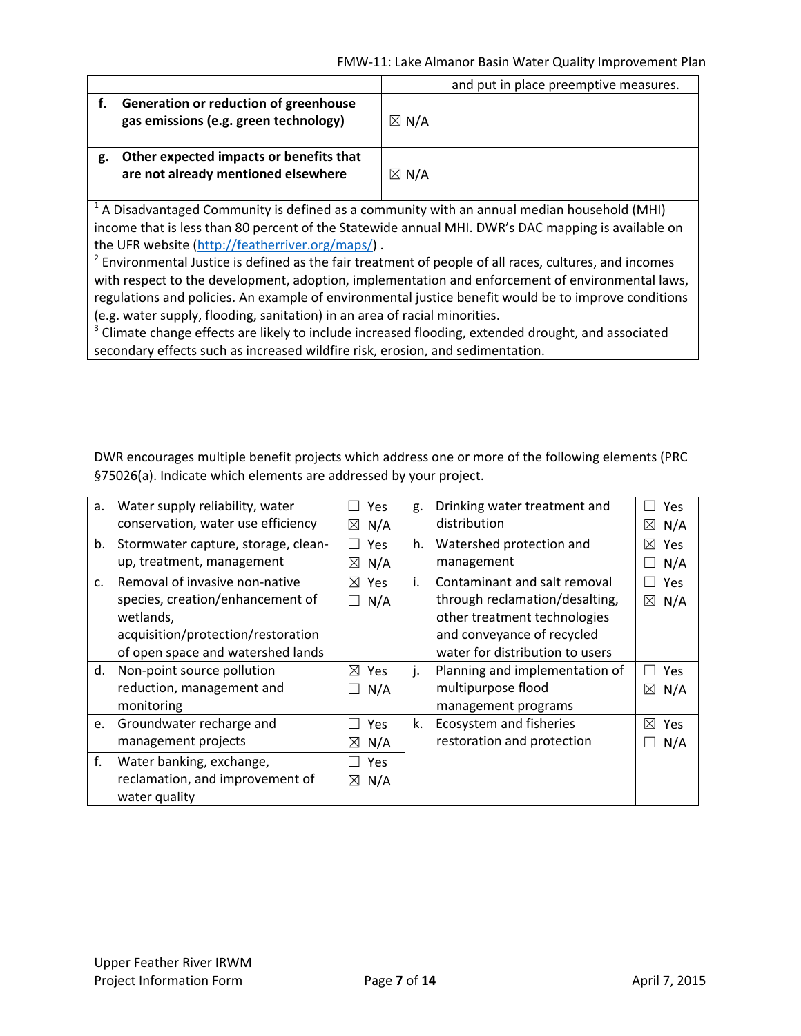|                                                                                                                                                                                                                                                          |                                                                                                                                                                                                                    |                 | and put in place preemptive measures. |
|----------------------------------------------------------------------------------------------------------------------------------------------------------------------------------------------------------------------------------------------------------|--------------------------------------------------------------------------------------------------------------------------------------------------------------------------------------------------------------------|-----------------|---------------------------------------|
| f.                                                                                                                                                                                                                                                       | Generation or reduction of greenhouse<br>gas emissions (e.g. green technology)                                                                                                                                     | $\boxtimes$ N/A |                                       |
| g.                                                                                                                                                                                                                                                       | Other expected impacts or benefits that<br>are not already mentioned elsewhere                                                                                                                                     | $\boxtimes$ N/A |                                       |
| $^1$ A Disadvantaged Community is defined as a community with an annual median household (MHI)<br>income that is less than 80 percent of the Statewide annual MHI. DWR's DAC mapping is available on<br>the UFR website (http://featherriver.org/maps/). |                                                                                                                                                                                                                    |                 |                                       |
|                                                                                                                                                                                                                                                          | <sup>2</sup> Environmental Justice is defined as the fair treatment of people of all races, cultures, and incomes<br>with respect to the development adoption implementation and enforcement of environmental laws |                 |                                       |

with respect to the development, adoption, implementation and enforcement of environmental laws, regulations and policies. An example of environmental justice benefit would be to improve conditions (e.g. water supply, flooding, sanitation) in an area of racial minorities.

<sup>3</sup> Climate change effects are likely to include increased flooding, extended drought, and associated secondary effects such as increased wildfire risk, erosion, and sedimentation.

DWR encourages multiple benefit projects which address one or more of the following elements (PRC §75026(a). Indicate which elements are addressed by your project.

| а. | Water supply reliability, water     | <b>Yes</b>         | g. | Drinking water treatment and    | Yes                |
|----|-------------------------------------|--------------------|----|---------------------------------|--------------------|
|    | conservation, water use efficiency  | N/A<br>$\boxtimes$ |    | distribution                    | ⊠<br>N/A           |
| b. | Stormwater capture, storage, clean- | <b>Yes</b>         | h. | Watershed protection and        | ⊠<br>Yes           |
|    | up, treatment, management           | N/A<br>$\boxtimes$ |    | management                      | N/A                |
| C. | Removal of invasive non-native      | ⊠<br><b>Yes</b>    | i. | Contaminant and salt removal    | <b>Yes</b>         |
|    | species, creation/enhancement of    | N/A                |    | through reclamation/desalting,  | $\boxtimes$<br>N/A |
|    | wetlands,                           |                    |    | other treatment technologies    |                    |
|    | acquisition/protection/restoration  |                    |    | and conveyance of recycled      |                    |
|    | of open space and watershed lands   |                    |    | water for distribution to users |                    |
| d. | Non-point source pollution          | $\boxtimes$<br>Yes | j. | Planning and implementation of  | Yes                |
|    | reduction, management and           | N/A                |    | multipurpose flood              | ⊠<br>N/A           |
|    | monitoring                          |                    |    | management programs             |                    |
| e. | Groundwater recharge and            | Yes                | k. | Ecosystem and fisheries         | ⊠<br>Yes           |
|    | management projects                 | N/A<br>$\boxtimes$ |    | restoration and protection      | N/A                |
| f. | Water banking, exchange,            | Yes                |    |                                 |                    |
|    | reclamation, and improvement of     | N/A<br>$\boxtimes$ |    |                                 |                    |
|    | water quality                       |                    |    |                                 |                    |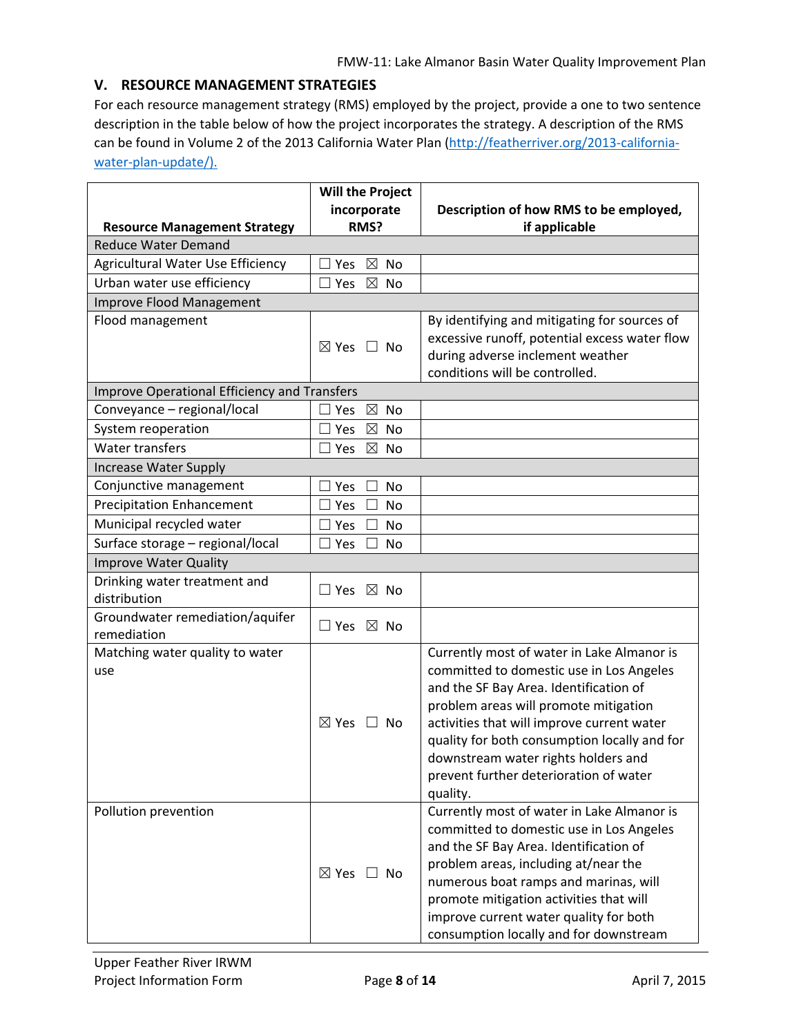#### **V. RESOURCE MANAGEMENT STRATEGIES**

For each resource management strategy (RMS) employed by the project, provide a one to two sentence description in the table below of how the project incorporates the strategy. A description of the RMS can be found in Volume 2 of the 2013 California Water Plan (http://featherriver.org/2013-californiawater-plan-update/).

|                                              | <b>Will the Project</b>            |                                                                                    |
|----------------------------------------------|------------------------------------|------------------------------------------------------------------------------------|
|                                              | incorporate                        | Description of how RMS to be employed,                                             |
| <b>Resource Management Strategy</b>          | RMS?                               | if applicable                                                                      |
| <b>Reduce Water Demand</b>                   |                                    |                                                                                    |
| Agricultural Water Use Efficiency            | $\boxtimes$<br>No<br>$\Box$<br>Yes |                                                                                    |
| Urban water use efficiency                   | $\boxtimes$<br>$\Box$ Yes<br>No    |                                                                                    |
| Improve Flood Management                     |                                    |                                                                                    |
| Flood management                             |                                    | By identifying and mitigating for sources of                                       |
|                                              | $\boxtimes$ Yes $\Box$ No          | excessive runoff, potential excess water flow                                      |
|                                              |                                    | during adverse inclement weather<br>conditions will be controlled.                 |
| Improve Operational Efficiency and Transfers |                                    |                                                                                    |
| Conveyance - regional/local                  | $\boxtimes$<br>No<br>Yes           |                                                                                    |
| System reoperation                           | $\boxtimes$<br>$\Box$<br>Yes<br>No |                                                                                    |
| <b>Water transfers</b>                       | $\boxtimes$<br>$\Box$<br>Yes<br>No |                                                                                    |
| <b>Increase Water Supply</b>                 |                                    |                                                                                    |
| Conjunctive management                       | Yes<br>No                          |                                                                                    |
| <b>Precipitation Enhancement</b>             | Yes<br>No                          |                                                                                    |
| Municipal recycled water                     | Yes<br>No                          |                                                                                    |
| Surface storage - regional/local             | Yes<br>$\Box$<br>No                |                                                                                    |
| <b>Improve Water Quality</b>                 |                                    |                                                                                    |
| Drinking water treatment and                 | $\boxtimes$ No<br>$\Box$ Yes       |                                                                                    |
| distribution                                 |                                    |                                                                                    |
| Groundwater remediation/aquifer              | $\Box$ Yes $\boxtimes$ No          |                                                                                    |
| remediation                                  |                                    |                                                                                    |
| Matching water quality to water              |                                    | Currently most of water in Lake Almanor is                                         |
| use                                          |                                    | committed to domestic use in Los Angeles<br>and the SF Bay Area. Identification of |
|                                              |                                    | problem areas will promote mitigation                                              |
|                                              | $\boxtimes$ Yes $\Box$ No          | activities that will improve current water                                         |
|                                              |                                    | quality for both consumption locally and for                                       |
|                                              |                                    | downstream water rights holders and                                                |
|                                              |                                    | prevent further deterioration of water                                             |
|                                              |                                    | quality.                                                                           |
| Pollution prevention                         |                                    | Currently most of water in Lake Almanor is                                         |
|                                              |                                    | committed to domestic use in Los Angeles                                           |
|                                              |                                    | and the SF Bay Area. Identification of                                             |
|                                              |                                    | problem areas, including at/near the                                               |
|                                              | $\boxtimes$ Yes $\Box$ No          | numerous boat ramps and marinas, will                                              |
|                                              |                                    | promote mitigation activities that will                                            |
|                                              |                                    | improve current water quality for both                                             |
|                                              |                                    | consumption locally and for downstream                                             |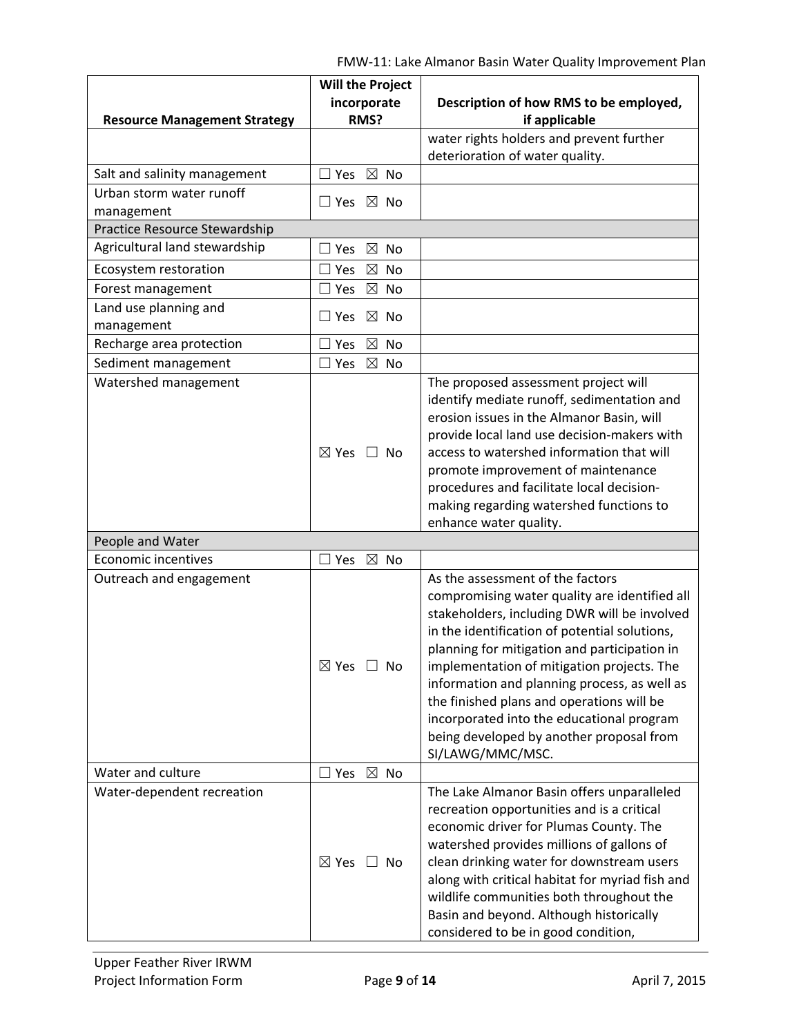|                                             | <b>Will the Project</b>           |                                                                                                                                                                                                                                                                                                                                                                                                                                                                                            |
|---------------------------------------------|-----------------------------------|--------------------------------------------------------------------------------------------------------------------------------------------------------------------------------------------------------------------------------------------------------------------------------------------------------------------------------------------------------------------------------------------------------------------------------------------------------------------------------------------|
|                                             | incorporate                       | Description of how RMS to be employed,                                                                                                                                                                                                                                                                                                                                                                                                                                                     |
| <b>Resource Management Strategy</b>         | RMS?                              | if applicable                                                                                                                                                                                                                                                                                                                                                                                                                                                                              |
|                                             |                                   | water rights holders and prevent further                                                                                                                                                                                                                                                                                                                                                                                                                                                   |
|                                             |                                   | deterioration of water quality.                                                                                                                                                                                                                                                                                                                                                                                                                                                            |
| Salt and salinity management                | $\boxtimes$ No<br>Yes             |                                                                                                                                                                                                                                                                                                                                                                                                                                                                                            |
| Urban storm water runoff                    | $\Box$ Yes $\boxtimes$ No         |                                                                                                                                                                                                                                                                                                                                                                                                                                                                                            |
| management<br>Practice Resource Stewardship |                                   |                                                                                                                                                                                                                                                                                                                                                                                                                                                                                            |
| Agricultural land stewardship               | $\boxtimes$ No<br>$\sqsupset$ Yes |                                                                                                                                                                                                                                                                                                                                                                                                                                                                                            |
| Ecosystem restoration                       | Yes<br>$\boxtimes$<br>No          |                                                                                                                                                                                                                                                                                                                                                                                                                                                                                            |
| Forest management                           | $\boxtimes$ No<br>Yes             |                                                                                                                                                                                                                                                                                                                                                                                                                                                                                            |
| Land use planning and                       |                                   |                                                                                                                                                                                                                                                                                                                                                                                                                                                                                            |
| management                                  | $\boxtimes$ No<br>$\Box$ Yes      |                                                                                                                                                                                                                                                                                                                                                                                                                                                                                            |
| Recharge area protection                    | $\boxtimes$<br><b>No</b><br>Yes   |                                                                                                                                                                                                                                                                                                                                                                                                                                                                                            |
| Sediment management                         | $\boxtimes$<br>Yes<br>No          |                                                                                                                                                                                                                                                                                                                                                                                                                                                                                            |
| Watershed management                        | $\boxtimes$ Yes $\Box$ No         | The proposed assessment project will<br>identify mediate runoff, sedimentation and<br>erosion issues in the Almanor Basin, will<br>provide local land use decision-makers with<br>access to watershed information that will<br>promote improvement of maintenance<br>procedures and facilitate local decision-<br>making regarding watershed functions to<br>enhance water quality.                                                                                                        |
| People and Water                            |                                   |                                                                                                                                                                                                                                                                                                                                                                                                                                                                                            |
| Economic incentives                         | $\boxtimes$ No<br>$\Box$ Yes      |                                                                                                                                                                                                                                                                                                                                                                                                                                                                                            |
| Outreach and engagement                     | $\boxtimes$ Yes $\Box$ No         | As the assessment of the factors<br>compromising water quality are identified all<br>stakeholders, including DWR will be involved<br>in the identification of potential solutions,<br>planning for mitigation and participation in<br>implementation of mitigation projects. The<br>information and planning process, as well as<br>the finished plans and operations will be<br>incorporated into the educational program<br>being developed by another proposal from<br>SI/LAWG/MMC/MSC. |
| Water and culture                           | $\boxtimes$ No<br>$\Box$ Yes      |                                                                                                                                                                                                                                                                                                                                                                                                                                                                                            |
| Water-dependent recreation                  | $\boxtimes$ Yes $\Box$ No         | The Lake Almanor Basin offers unparalleled<br>recreation opportunities and is a critical<br>economic driver for Plumas County. The<br>watershed provides millions of gallons of<br>clean drinking water for downstream users<br>along with critical habitat for myriad fish and<br>wildlife communities both throughout the<br>Basin and beyond. Although historically<br>considered to be in good condition,                                                                              |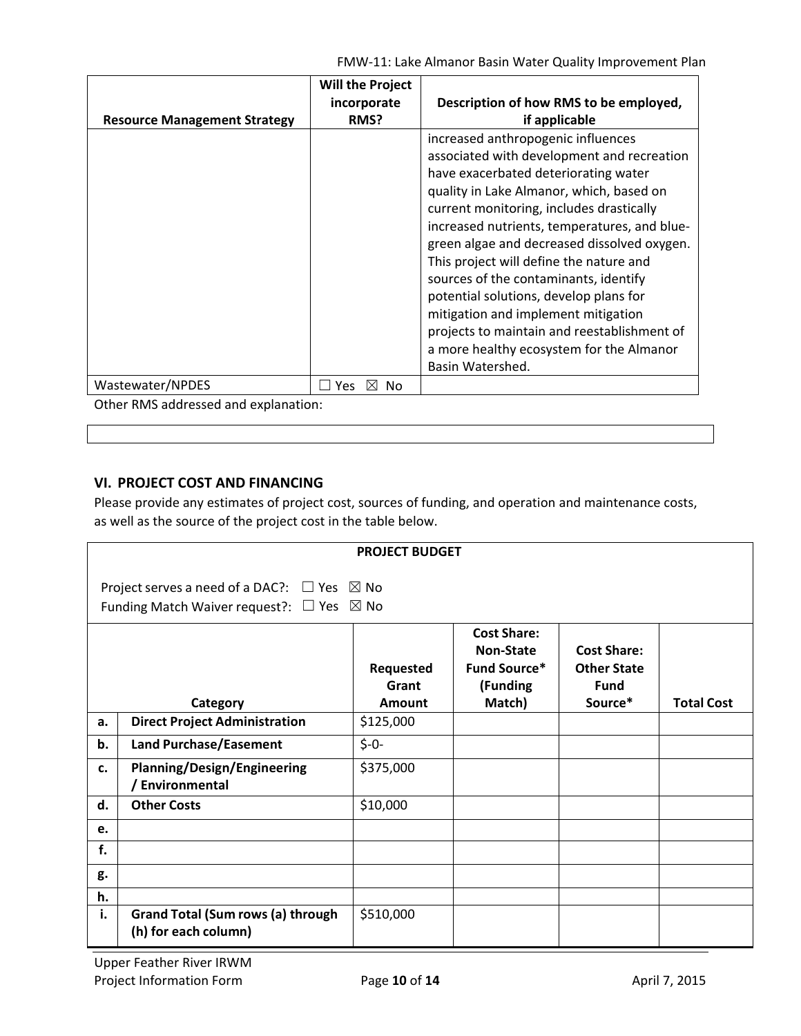FMW‐11: Lake Almanor Basin Water Quality Improvement Plan

| Description of how RMS to be employed,<br>incorporate<br>if applicable<br>RMS?<br><b>Resource Management Strategy</b><br>increased anthropogenic influences<br>associated with development and recreation<br>have exacerbated deteriorating water<br>quality in Lake Almanor, which, based on<br>current monitoring, includes drastically<br>increased nutrients, temperatures, and blue-<br>green algae and decreased dissolved oxygen.<br>This project will define the nature and<br>sources of the contaminants, identify<br>potential solutions, develop plans for<br>mitigation and implement mitigation<br>projects to maintain and reestablishment of<br>a more healthy ecosystem for the Almanor<br>Basin Watershed.<br>Wastewater/NPDES<br>Yes<br>No. | <b>Will the Project</b> |  |
|----------------------------------------------------------------------------------------------------------------------------------------------------------------------------------------------------------------------------------------------------------------------------------------------------------------------------------------------------------------------------------------------------------------------------------------------------------------------------------------------------------------------------------------------------------------------------------------------------------------------------------------------------------------------------------------------------------------------------------------------------------------|-------------------------|--|
|                                                                                                                                                                                                                                                                                                                                                                                                                                                                                                                                                                                                                                                                                                                                                                |                         |  |
|                                                                                                                                                                                                                                                                                                                                                                                                                                                                                                                                                                                                                                                                                                                                                                |                         |  |
|                                                                                                                                                                                                                                                                                                                                                                                                                                                                                                                                                                                                                                                                                                                                                                |                         |  |
| Other PMS addressed and evalantion:                                                                                                                                                                                                                                                                                                                                                                                                                                                                                                                                                                                                                                                                                                                            |                         |  |

Other RMS addressed and explanation:

### **VI. PROJECT COST AND FINANCING**

Please provide any estimates of project cost, sources of funding, and operation and maintenance costs, as well as the source of the project cost in the table below.

|    | <b>PROJECT BUDGET</b>                                                                                                  |                              |                                                                                     |                                                                    |                   |
|----|------------------------------------------------------------------------------------------------------------------------|------------------------------|-------------------------------------------------------------------------------------|--------------------------------------------------------------------|-------------------|
|    | Project serves a need of a DAC?: $\Box$ Yes $\boxtimes$ No<br>Funding Match Waiver request?: $\Box$ Yes $\boxtimes$ No |                              |                                                                                     |                                                                    |                   |
|    | Category                                                                                                               | Requested<br>Grant<br>Amount | <b>Cost Share:</b><br><b>Non-State</b><br><b>Fund Source*</b><br>(Funding<br>Match) | <b>Cost Share:</b><br><b>Other State</b><br><b>Fund</b><br>Source* | <b>Total Cost</b> |
| a. | <b>Direct Project Administration</b>                                                                                   | \$125,000                    |                                                                                     |                                                                    |                   |
| b. | <b>Land Purchase/Easement</b>                                                                                          | $$ -0-$                      |                                                                                     |                                                                    |                   |
| c. | <b>Planning/Design/Engineering</b><br>/ Environmental                                                                  | \$375,000                    |                                                                                     |                                                                    |                   |
| d. | <b>Other Costs</b>                                                                                                     | \$10,000                     |                                                                                     |                                                                    |                   |
| e. |                                                                                                                        |                              |                                                                                     |                                                                    |                   |
| f. |                                                                                                                        |                              |                                                                                     |                                                                    |                   |
| g. |                                                                                                                        |                              |                                                                                     |                                                                    |                   |
| h. |                                                                                                                        |                              |                                                                                     |                                                                    |                   |
| i. | <b>Grand Total (Sum rows (a) through</b><br>(h) for each column)                                                       | \$510,000                    |                                                                                     |                                                                    |                   |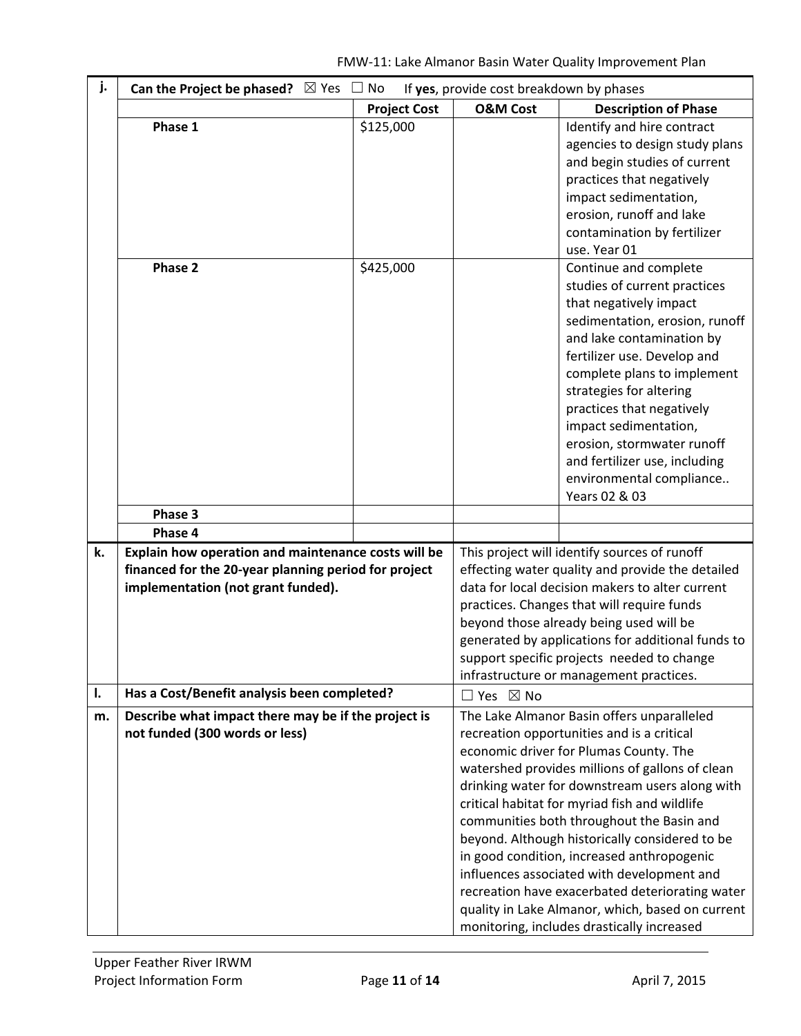| j. | Can the Project be phased? $\boxtimes$ Yes           | No                  | If yes, provide cost breakdown by phases |                                                                                              |
|----|------------------------------------------------------|---------------------|------------------------------------------|----------------------------------------------------------------------------------------------|
|    |                                                      | <b>Project Cost</b> | <b>O&amp;M Cost</b>                      | <b>Description of Phase</b>                                                                  |
|    | Phase 1                                              | \$125,000           |                                          | Identify and hire contract                                                                   |
|    |                                                      |                     |                                          | agencies to design study plans                                                               |
|    |                                                      |                     |                                          | and begin studies of current                                                                 |
|    |                                                      |                     |                                          | practices that negatively                                                                    |
|    |                                                      |                     |                                          | impact sedimentation,                                                                        |
|    |                                                      |                     |                                          | erosion, runoff and lake                                                                     |
|    |                                                      |                     |                                          | contamination by fertilizer                                                                  |
|    |                                                      |                     |                                          | use. Year 01                                                                                 |
|    | Phase 2                                              | \$425,000           |                                          | Continue and complete                                                                        |
|    |                                                      |                     |                                          | studies of current practices                                                                 |
|    |                                                      |                     |                                          | that negatively impact                                                                       |
|    |                                                      |                     |                                          | sedimentation, erosion, runoff                                                               |
|    |                                                      |                     |                                          | and lake contamination by                                                                    |
|    |                                                      |                     |                                          | fertilizer use. Develop and                                                                  |
|    |                                                      |                     |                                          | complete plans to implement                                                                  |
|    |                                                      |                     |                                          | strategies for altering                                                                      |
|    |                                                      |                     |                                          | practices that negatively                                                                    |
|    |                                                      |                     |                                          | impact sedimentation,                                                                        |
|    |                                                      |                     |                                          | erosion, stormwater runoff                                                                   |
|    |                                                      |                     |                                          | and fertilizer use, including                                                                |
|    |                                                      |                     |                                          | environmental compliance                                                                     |
|    |                                                      |                     |                                          | Years 02 & 03                                                                                |
|    | Phase 3                                              |                     |                                          |                                                                                              |
|    | Phase 4                                              |                     |                                          |                                                                                              |
| k. | Explain how operation and maintenance costs will be  |                     |                                          | This project will identify sources of runoff                                                 |
|    | financed for the 20-year planning period for project |                     |                                          | effecting water quality and provide the detailed                                             |
|    | implementation (not grant funded).                   |                     |                                          | data for local decision makers to alter current                                              |
|    |                                                      |                     |                                          | practices. Changes that will require funds                                                   |
|    |                                                      |                     |                                          | beyond those already being used will be<br>generated by applications for additional funds to |
|    |                                                      |                     |                                          | support specific projects needed to change                                                   |
|    |                                                      |                     |                                          | infrastructure or management practices.                                                      |
| I. | Has a Cost/Benefit analysis been completed?          |                     | $\Box$ Yes $\boxtimes$ No                |                                                                                              |
| m. | Describe what impact there may be if the project is  |                     |                                          | The Lake Almanor Basin offers unparalleled                                                   |
|    | not funded (300 words or less)                       |                     |                                          | recreation opportunities and is a critical                                                   |
|    |                                                      |                     |                                          | economic driver for Plumas County. The                                                       |
|    |                                                      |                     |                                          | watershed provides millions of gallons of clean                                              |
|    |                                                      |                     |                                          | drinking water for downstream users along with                                               |
|    |                                                      |                     |                                          | critical habitat for myriad fish and wildlife                                                |
|    |                                                      |                     |                                          | communities both throughout the Basin and                                                    |
|    |                                                      |                     |                                          | beyond. Although historically considered to be                                               |
|    |                                                      |                     |                                          | in good condition, increased anthropogenic                                                   |
|    |                                                      |                     |                                          | influences associated with development and                                                   |
|    |                                                      |                     |                                          | recreation have exacerbated deteriorating water                                              |
|    |                                                      |                     |                                          | quality in Lake Almanor, which, based on current                                             |
|    |                                                      |                     |                                          | monitoring, includes drastically increased                                                   |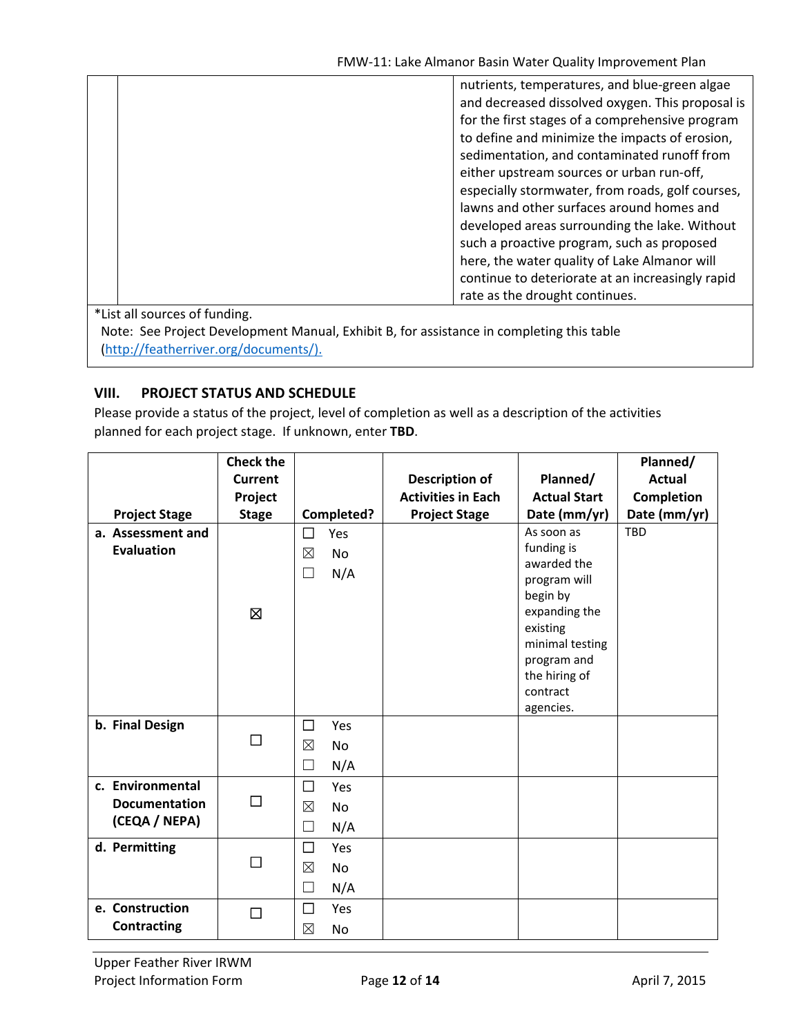| nutrients, temperatures, and blue-green algae<br>and decreased dissolved oxygen. This proposal is<br>for the first stages of a comprehensive program<br>to define and minimize the impacts of erosion,<br>sedimentation, and contaminated runoff from<br>either upstream sources or urban run-off,<br>especially stormwater, from roads, golf courses,<br>lawns and other surfaces around homes and<br>developed areas surrounding the lake. Without<br>such a proactive program, such as proposed<br>here, the water quality of Lake Almanor will<br>continue to deteriorate at an increasingly rapid |
|--------------------------------------------------------------------------------------------------------------------------------------------------------------------------------------------------------------------------------------------------------------------------------------------------------------------------------------------------------------------------------------------------------------------------------------------------------------------------------------------------------------------------------------------------------------------------------------------------------|
| rate as the drought continues.                                                                                                                                                                                                                                                                                                                                                                                                                                                                                                                                                                         |
| *List all sources of funding                                                                                                                                                                                                                                                                                                                                                                                                                                                                                                                                                                           |

ist all sources of funding.

Note: See Project Development Manual, Exhibit B, for assistance in completing this table (http://featherriver.org/documents/).

### **VIII. PROJECT STATUS AND SCHEDULE**

Please provide a status of the project, level of completion as well as a description of the activities planned for each project stage. If unknown, enter **TBD**.

|                      | <b>Check the</b> |                          |                           |                          | Planned/          |
|----------------------|------------------|--------------------------|---------------------------|--------------------------|-------------------|
|                      | <b>Current</b>   |                          | <b>Description of</b>     | Planned/                 | <b>Actual</b>     |
|                      | Project          |                          | <b>Activities in Each</b> | <b>Actual Start</b>      | <b>Completion</b> |
| <b>Project Stage</b> | <b>Stage</b>     | Completed?               | <b>Project Stage</b>      | Date (mm/yr)             | Date (mm/yr)      |
| a. Assessment and    |                  | □<br>Yes                 |                           | As soon as               | <b>TBD</b>        |
| <b>Evaluation</b>    |                  | $\boxtimes$<br><b>No</b> |                           | funding is               |                   |
|                      |                  | N/A<br>$\Box$            |                           | awarded the              |                   |
|                      |                  |                          |                           | program will<br>begin by |                   |
|                      | 区                |                          |                           | expanding the            |                   |
|                      |                  |                          |                           | existing                 |                   |
|                      |                  |                          |                           | minimal testing          |                   |
|                      |                  |                          |                           | program and              |                   |
|                      |                  |                          |                           | the hiring of            |                   |
|                      |                  |                          |                           | contract                 |                   |
|                      |                  |                          |                           | agencies.                |                   |
| b. Final Design      | $\Box$           | □<br>Yes                 |                           |                          |                   |
|                      |                  | ⊠<br><b>No</b>           |                           |                          |                   |
|                      |                  | N/A<br>$\Box$            |                           |                          |                   |
| c. Environmental     |                  | $\Box$<br>Yes            |                           |                          |                   |
| <b>Documentation</b> | $\Box$           | ⊠<br><b>No</b>           |                           |                          |                   |
| (CEQA / NEPA)        |                  | N/A<br>$\Box$            |                           |                          |                   |
| d. Permitting        |                  | □<br>Yes                 |                           |                          |                   |
|                      | □                | $\boxtimes$<br><b>No</b> |                           |                          |                   |
|                      |                  | N/A<br>$\Box$            |                           |                          |                   |
| e. Construction      | □                | □<br>Yes                 |                           |                          |                   |
| Contracting          |                  | $\boxtimes$<br>No        |                           |                          |                   |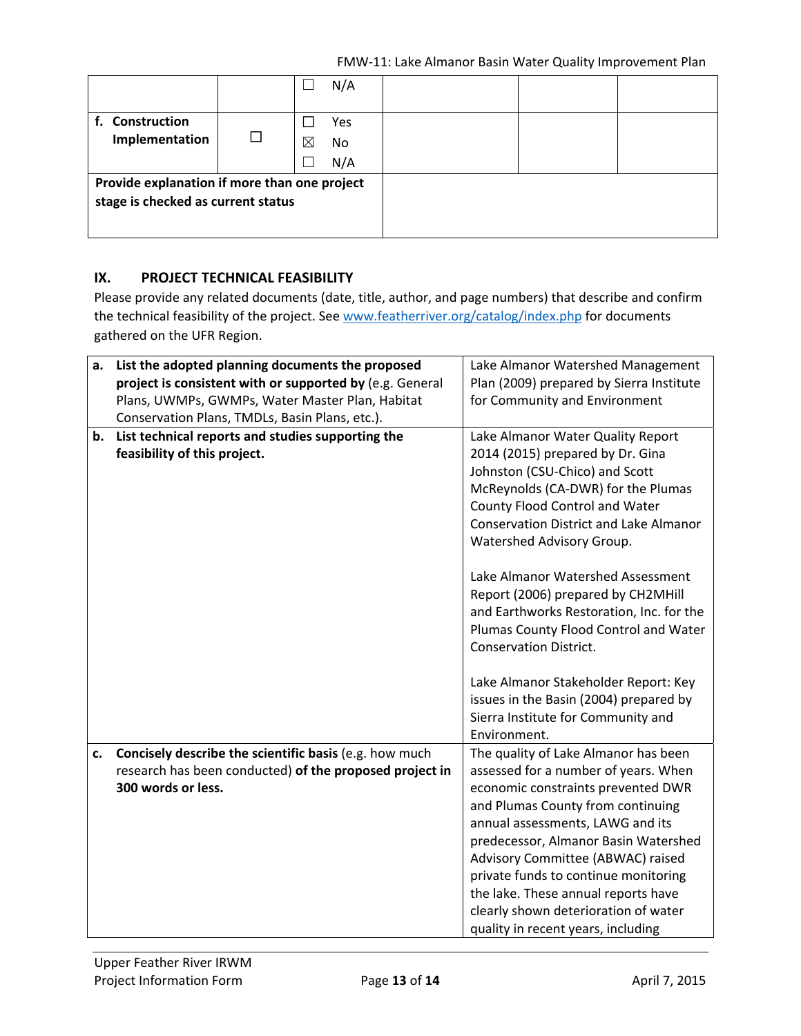|                                              |   |   | N/A |  |  |
|----------------------------------------------|---|---|-----|--|--|
| f. Construction                              |   |   | Yes |  |  |
| Implementation                               | П | ⊠ | No. |  |  |
|                                              |   |   | N/A |  |  |
| Provide explanation if more than one project |   |   |     |  |  |
| stage is checked as current status           |   |   |     |  |  |
|                                              |   |   |     |  |  |

### **IX. PROJECT TECHNICAL FEASIBILITY**

Please provide any related documents (date, title, author, and page numbers) that describe and confirm the technical feasibility of the project. See www.featherriver.org/catalog/index.php for documents gathered on the UFR Region.

| a. | List the adopted planning documents the proposed         | Lake Almanor Watershed Management             |
|----|----------------------------------------------------------|-----------------------------------------------|
|    | project is consistent with or supported by (e.g. General | Plan (2009) prepared by Sierra Institute      |
|    | Plans, UWMPs, GWMPs, Water Master Plan, Habitat          | for Community and Environment                 |
|    | Conservation Plans, TMDLs, Basin Plans, etc.).           |                                               |
| b. | List technical reports and studies supporting the        | Lake Almanor Water Quality Report             |
|    | feasibility of this project.                             | 2014 (2015) prepared by Dr. Gina              |
|    |                                                          | Johnston (CSU-Chico) and Scott                |
|    |                                                          | McReynolds (CA-DWR) for the Plumas            |
|    |                                                          | County Flood Control and Water                |
|    |                                                          | <b>Conservation District and Lake Almanor</b> |
|    |                                                          | Watershed Advisory Group.                     |
|    |                                                          | Lake Almanor Watershed Assessment             |
|    |                                                          | Report (2006) prepared by CH2MHill            |
|    |                                                          | and Earthworks Restoration, Inc. for the      |
|    |                                                          | Plumas County Flood Control and Water         |
|    |                                                          | <b>Conservation District.</b>                 |
|    |                                                          |                                               |
|    |                                                          | Lake Almanor Stakeholder Report: Key          |
|    |                                                          | issues in the Basin (2004) prepared by        |
|    |                                                          | Sierra Institute for Community and            |
|    |                                                          | Environment.                                  |
| c. | Concisely describe the scientific basis (e.g. how much   | The quality of Lake Almanor has been          |
|    | research has been conducted) of the proposed project in  | assessed for a number of years. When          |
|    | 300 words or less.                                       | economic constraints prevented DWR            |
|    |                                                          | and Plumas County from continuing             |
|    |                                                          | annual assessments, LAWG and its              |
|    |                                                          | predecessor, Almanor Basin Watershed          |
|    |                                                          | Advisory Committee (ABWAC) raised             |
|    |                                                          | private funds to continue monitoring          |
|    |                                                          | the lake. These annual reports have           |
|    |                                                          | clearly shown deterioration of water          |
|    |                                                          | quality in recent years, including            |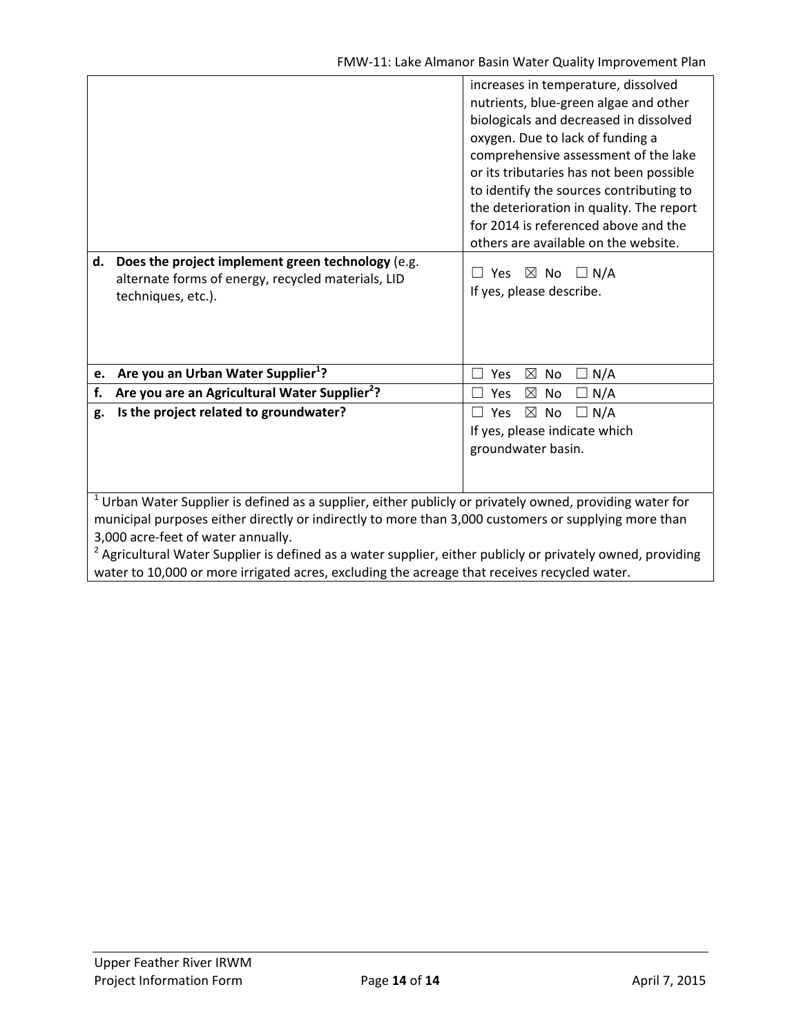|                                                                                                                                                                                                                                                                                                                                                                                                                                                                                    | increases in temperature, dissolved<br>nutrients, blue-green algae and other<br>biologicals and decreased in dissolved<br>oxygen. Due to lack of funding a<br>comprehensive assessment of the lake<br>or its tributaries has not been possible<br>to identify the sources contributing to<br>the deterioration in quality. The report<br>for 2014 is referenced above and the<br>others are available on the website. |  |  |  |
|------------------------------------------------------------------------------------------------------------------------------------------------------------------------------------------------------------------------------------------------------------------------------------------------------------------------------------------------------------------------------------------------------------------------------------------------------------------------------------|-----------------------------------------------------------------------------------------------------------------------------------------------------------------------------------------------------------------------------------------------------------------------------------------------------------------------------------------------------------------------------------------------------------------------|--|--|--|
| d. Does the project implement green technology (e.g.<br>alternate forms of energy, recycled materials, LID<br>techniques, etc.).                                                                                                                                                                                                                                                                                                                                                   | Yes<br>$\boxtimes$ No $\Box$ N/A<br>If yes, please describe.                                                                                                                                                                                                                                                                                                                                                          |  |  |  |
| Are you an Urban Water Supplier <sup>1</sup> ?<br>e.                                                                                                                                                                                                                                                                                                                                                                                                                               | $\boxtimes$<br>Yes<br>No<br>N/A<br>$\overline{\phantom{0}}$                                                                                                                                                                                                                                                                                                                                                           |  |  |  |
| Are you are an Agricultural Water Supplier <sup>2</sup> ?<br>f.                                                                                                                                                                                                                                                                                                                                                                                                                    | N/A<br>$\boxtimes$<br>No<br>Yes<br>П                                                                                                                                                                                                                                                                                                                                                                                  |  |  |  |
| Is the project related to groundwater?<br>g.                                                                                                                                                                                                                                                                                                                                                                                                                                       | $\Box N/A$<br>Yes<br>$\boxtimes$ No<br>$\Box$<br>If yes, please indicate which<br>groundwater basin.                                                                                                                                                                                                                                                                                                                  |  |  |  |
| $1$ Urban Water Supplier is defined as a supplier, either publicly or privately owned, providing water for<br>municipal purposes either directly or indirectly to more than 3,000 customers or supplying more than<br>3,000 acre-feet of water annually.<br><sup>2</sup> Agricultural Water Supplier is defined as a water supplier, either publicly or privately owned, providing<br>water to 10,000 or more irrigated acres, excluding the acreage that receives recycled water. |                                                                                                                                                                                                                                                                                                                                                                                                                       |  |  |  |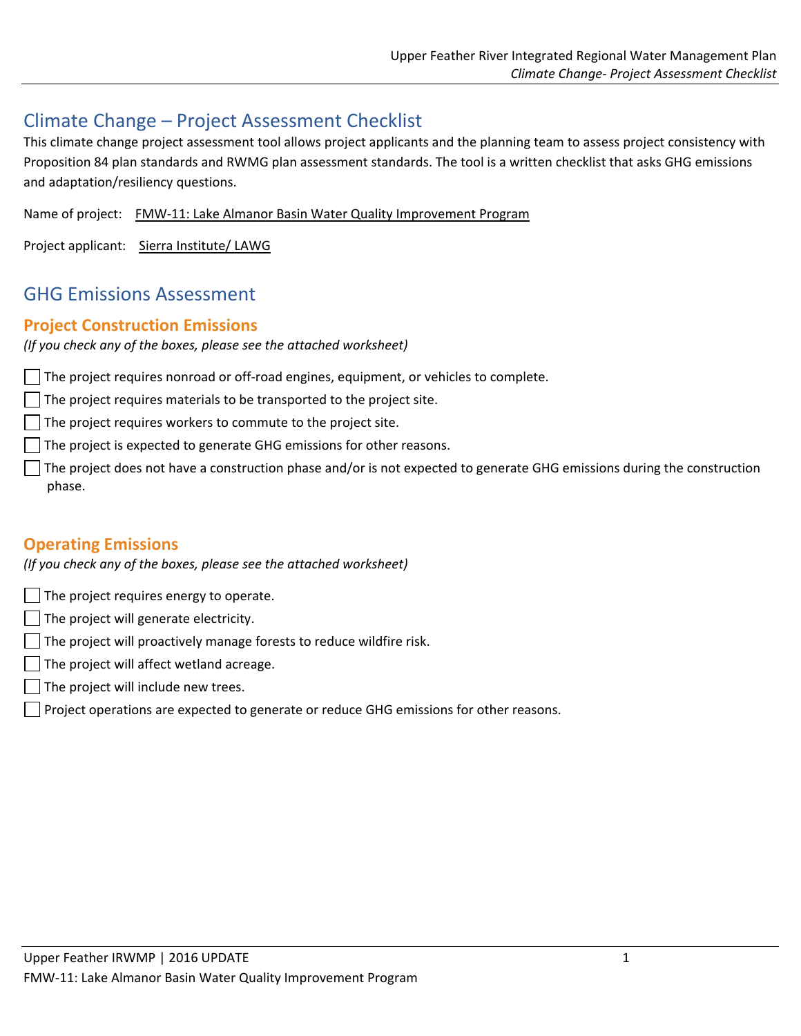# Climate Change – Project Assessment Checklist

This climate change project assessment tool allows project applicants and the planning team to assess project consistency with Proposition 84 plan standards and RWMG plan assessment standards. The tool is a written checklist that asks GHG emissions and adaptation/resiliency questions.

Name of project: FMW‐11: Lake Almanor Basin Water Quality Improvement Program

Project applicant: Sierra Institute/ LAWG

# GHG Emissions Assessment

### **Project Construction Emissions**

*(If you check any of the boxes, please see the attached worksheet)*

The project requires nonroad or off-road engines, equipment, or vehicles to complete.

 $\Box$  The project requires materials to be transported to the project site.

 $\Box$  The project requires workers to commute to the project site.

 $\Box$  The project is expected to generate GHG emissions for other reasons.

The project does not have a construction phase and/or is not expected to generate GHG emissions during the construction phase.

## **Operating Emissions**

*(If you check any of the boxes, please see the attached worksheet)*

 $\Box$  The project requires energy to operate.

- $\Box$  The project will generate electricity.
- $\Box$  The project will proactively manage forests to reduce wildfire risk.
- The project will affect wetland acreage.
- $\Box$  The project will include new trees.
- $\vert \ \vert$  Project operations are expected to generate or reduce GHG emissions for other reasons.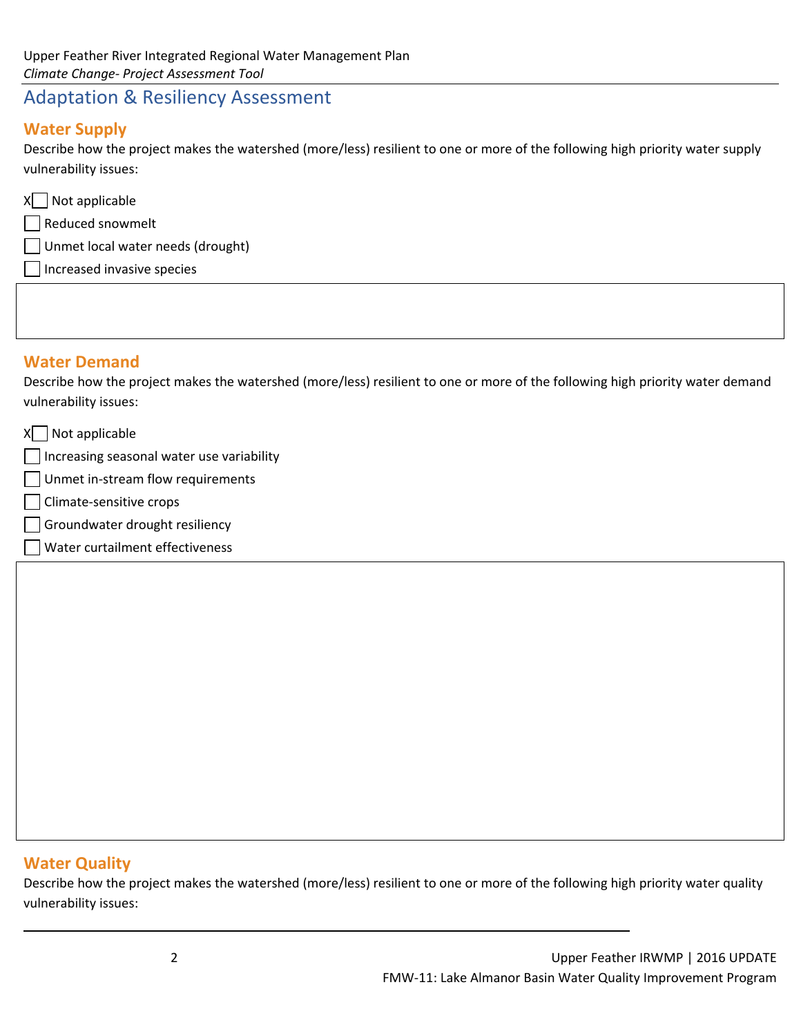# Adaptation & Resiliency Assessment

## **Water Supply**

Describe how the project makes the watershed (more/less) resilient to one or more of the following high priority water supply vulnerability issues:

| X Not applicable                  |  |
|-----------------------------------|--|
| Reduced snowmelt                  |  |
| Unmet local water needs (drought) |  |
| Increased invasive species        |  |

## **Water Demand**

Describe how the project makes the watershed (more/less) resilient to one or more of the following high priority water demand vulnerability issues:

| Not applicable                            |  |
|-------------------------------------------|--|
| Increasing seasonal water use variability |  |
| Unmet in-stream flow requirements         |  |
| Climate-sensitive crops                   |  |
| Groundwater drought resiliency            |  |
| Water curtailment effectiveness           |  |
|                                           |  |

## **Water Quality**

Describe how the project makes the watershed (more/less) resilient to one or more of the following high priority water quality vulnerability issues:

<u> 1989 - Andrea Barbara, amerikana amerikana amerikana amerikana amerikana amerikana amerikana amerikana amerik</u>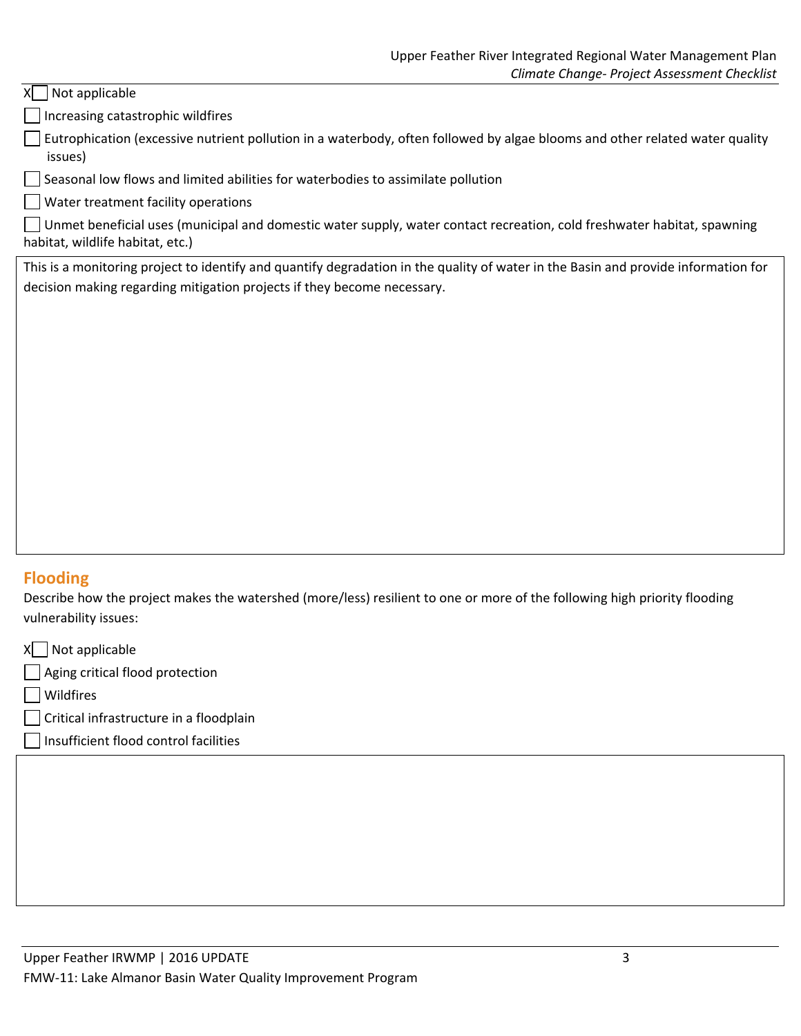#### $X$  Not applicable

Increasing catastrophic wildfires

 $\Box$  Eutrophication (excessive nutrient pollution in a waterbody, often followed by algae blooms and other related water quality issues)

Seasonal low flows and limited abilities for waterbodies to assimilate pollution

Water treatment facility operations

 $\Box$  Unmet beneficial uses (municipal and domestic water supply, water contact recreation, cold freshwater habitat, spawning habitat, wildlife habitat, etc.)

This is a monitoring project to identify and quantify degradation in the quality of water in the Basin and provide information for decision making regarding mitigation projects if they become necessary.

## **Flooding**

Describe how the project makes the watershed (more/less) resilient to one or more of the following high priority flooding vulnerability issues:

 $X$  Not applicable Aging critical flood protection Wildfires Critical infrastructure in a floodplain Insufficient flood control facilities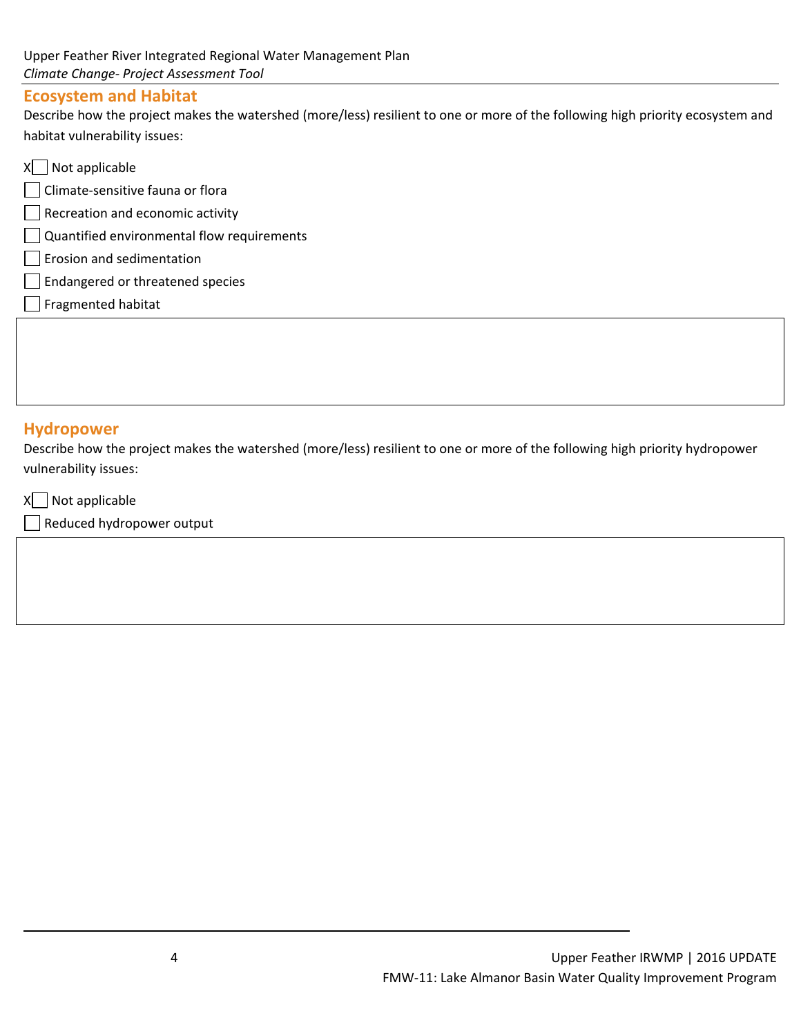### **Ecosystem and Habitat**

Describe how the project makes the watershed (more/less) resilient to one or more of the following high priority ecosystem and habitat vulnerability issues:

 $X \cap$  Not applicable Climate‐sensitive fauna or flora Recreation and economic activity Quantified environmental flow requirements **Erosion and sedimentation** Endangered or threatened species  $\Box$  Fragmented habitat

### **Hydropower**

Describe how the project makes the watershed (more/less) resilient to one or more of the following high priority hydropower vulnerability issues:

<u> 1989 - Andrea Barbara, amerikana amerikana amerikana amerikana amerikana amerikana amerikana amerikana amerik</u>

 $X$  Not applicable

Reduced hydropower output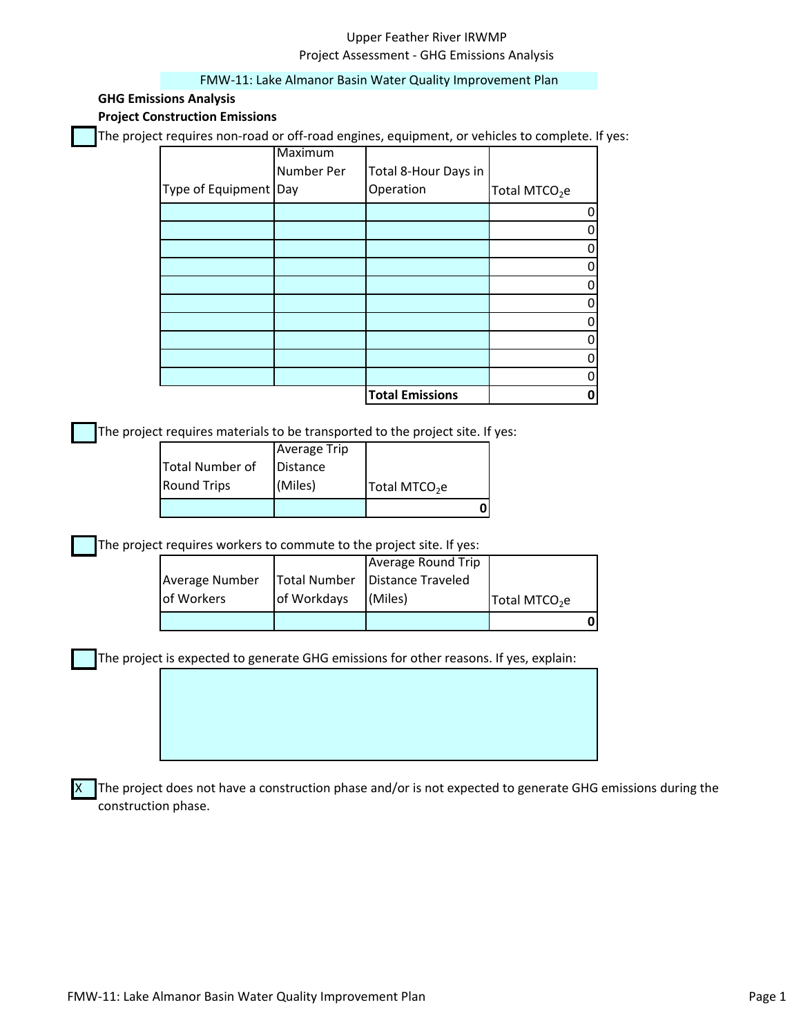### Upper Feather River IRWMP Project Assessment ‐ GHG Emissions Analysis

#### FMW‐11: Lake Almanor Basin Water Quality Improvement Plan

#### **GHG Emissions Analysis**

**Project Construction Emissions**

The project requires non-road or off-road engines, equipment, or vehicles to complete. If yes:

|                       | Maximum    |                        |                           |
|-----------------------|------------|------------------------|---------------------------|
|                       | Number Per | Total 8-Hour Days in   |                           |
| Type of Equipment Day |            | Operation              | Total MTCO <sub>2</sub> e |
|                       |            |                        |                           |
|                       |            |                        |                           |
|                       |            |                        |                           |
|                       |            |                        |                           |
|                       |            |                        |                           |
|                       |            |                        |                           |
|                       |            |                        |                           |
|                       |            |                        |                           |
|                       |            |                        |                           |
|                       |            |                        |                           |
|                       |            | <b>Total Emissions</b> |                           |

The project requires materials to be transported to the project site. If yes:

| <b>Round Trips</b> | (Miles)             | Total MTCO <sub>2</sub> e |  |
|--------------------|---------------------|---------------------------|--|
| Total Number of    | Distance            |                           |  |
|                    | <b>Average Trip</b> |                           |  |

The project requires workers to commute to the project site. If yes:

| Average Number     |             | Total Number   Distance Traveled |                           |  |
|--------------------|-------------|----------------------------------|---------------------------|--|
| <b>lof Workers</b> | of Workdays | (Miles)                          | Total MTCO <sub>2</sub> e |  |
|                    |             |                                  |                           |  |

The project is expected to generate GHG emissions for other reasons. If yes, explain:

The project does not have a construction phase and/or is not expected to generate GHG emissions during the construction phase.

X